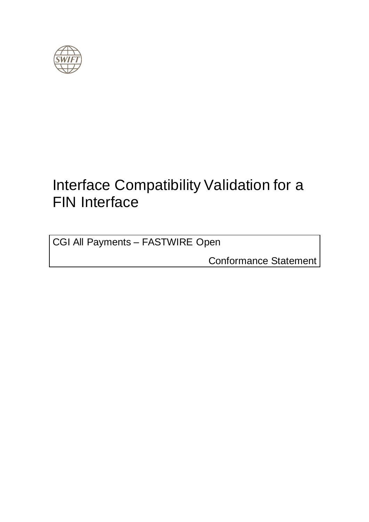<span id="page-0-0"></span>

# Interface Compatibility Validation for a FIN Interface

CGI All Payments – FASTWIRE Open

Conformance Statement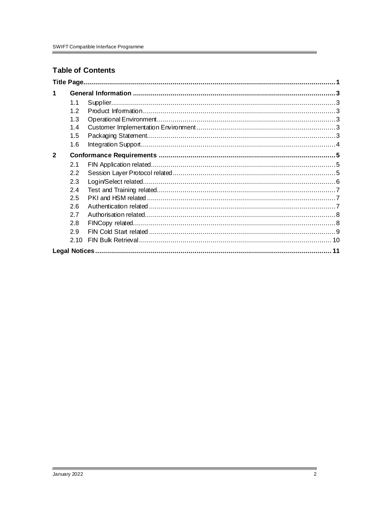#### **Table of Contents**

| $\mathbf 1$  |      |  |
|--------------|------|--|
|              | 1.1  |  |
|              | 1.2  |  |
|              | 1.3  |  |
|              | 1.4  |  |
|              | 1.5  |  |
|              | 1.6  |  |
| $\mathbf{2}$ |      |  |
|              | 2.1  |  |
|              | 2.2  |  |
|              | 2.3  |  |
|              | 2.4  |  |
|              | 2.5  |  |
|              | 2.6  |  |
|              | 2.7  |  |
|              | 2.8  |  |
|              | 2.9  |  |
|              | 2.10 |  |
|              |      |  |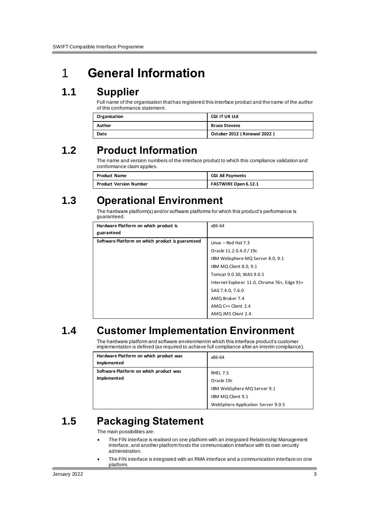## <span id="page-2-0"></span>1 **General Information**

## <span id="page-2-1"></span>**1.1 Supplier**

Full name of the organisation that has registered this interface product and the name of the author of this conformance statement.

| Organisation | <b>CGI IT UK Ltd</b>        |  |
|--------------|-----------------------------|--|
| Author       | <b>Bruce Stevens</b>        |  |
| Date         | October 2012 (Renewal 2022) |  |

## <span id="page-2-2"></span>**1.2 Product Information**

The name and version numbers of the interface product to which this compliance validation and conformance claim applies.

| <b>Product Name</b>           | <b>CGI All Payments</b> |  |
|-------------------------------|-------------------------|--|
| <b>Product Version Number</b> | FASTWIRE Open 6.12.1    |  |

## <span id="page-2-3"></span>**1.3 Operational Environment**

The hardware platform(s) and/or software platforms for which this product's performance is guaranteed.

| Hardware Platform on which product is<br>guaranteed | x86-64                                       |
|-----------------------------------------------------|----------------------------------------------|
| Software Platform on which product is guaranteed    | Linux $-$ Red Hat 7.3                        |
|                                                     | Oracle 11.2.0.4.0 / 19c                      |
|                                                     | IBM Websphere MQ Server 8.0, 9.1             |
|                                                     | IBM MQ Client 8.0, 9.1                       |
|                                                     | Tomcat 9.0.30, WAS 9.0.5                     |
|                                                     | Internet Explorer 11.0, Chrome 76+, Edge 91+ |
|                                                     | SAG 7.4.0, 7.6.0                             |
|                                                     | AMQ Broker 7.4                               |
|                                                     | AMQ C++ Client 2.4                           |
|                                                     | AMQ JMS Client 2.4                           |

## <span id="page-2-4"></span>**1.4 Customer Implementation Environment**

The hardware platform and software environment in which this interface product's customer implementation is defined (as required to achieve full compliance after an interim compliance).

| Hardware Platform on which product was<br>implemented | x86-64                             |
|-------------------------------------------------------|------------------------------------|
| Software Platform on which product was                | <b>RHEL 7.5</b>                    |
| implemented                                           | Oracle 19c                         |
|                                                       | IBM WebSphere MQ Server 9.1        |
|                                                       | IBM MQ Client 9.1                  |
|                                                       | WebSphere Application Server 9.0.5 |

## <span id="page-2-5"></span>**1.5 Packaging Statement**

The main possibilities are:

- The FIN interface is realised on one platform with an integrated Relationship Management interface, and another platform hosts the communication interface with its own security administration.
- The FIN interface is integrated with an RMA interface and a communication interface on one platform.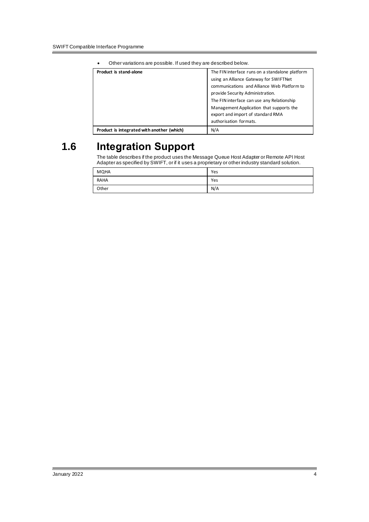| Other valiations are possible. If used they are described below. |                                                 |  |  |
|------------------------------------------------------------------|-------------------------------------------------|--|--|
| Product is stand-alone                                           | The FIN interface runs on a standalone platform |  |  |
|                                                                  | using an Alliance Gateway for SWIFTNet          |  |  |
|                                                                  | communications and Alliance Web Platform to     |  |  |
|                                                                  | provide Security Administration.                |  |  |
|                                                                  | The FIN interface can use any Relationship      |  |  |
|                                                                  | Management Application that supports the        |  |  |
|                                                                  | export and import of standard RMA               |  |  |
| authorisation formats.                                           |                                                 |  |  |
| Product is integrated with another (which)                       | N/A                                             |  |  |

• Other variations are possible. If used they are described below.

## <span id="page-3-0"></span>**1.6 Integration Support**

The table describes if the product uses the Message Queue Host Adapter or Remote API Host Adapter as specified by SWIFT, or if it uses a proprietary or other industry standard solution.

| MQHA        | Yes |
|-------------|-----|
| <b>RAHA</b> | Yes |
| Other       | N/A |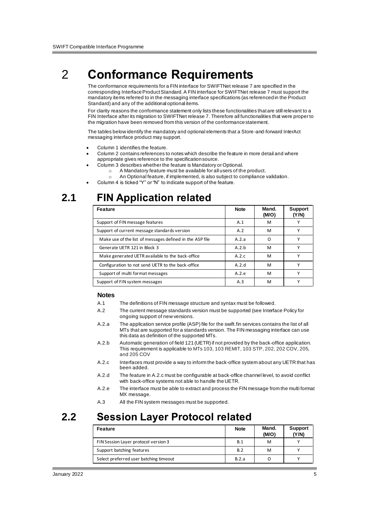## <span id="page-4-0"></span>2 **Conformance Requirements**

The conformance requirements for a FIN interface for SWIFTNet release 7 are specified in the corresponding Interface Product Standard. A FIN interface for SWIFTNet release 7 must support the mandatory items referred to in the messaging interface specifications (as referenced in the Product Standard) and any of the additional optional items.

For clarity reasons the conformance statement only lists these functionalities that are still relevant to a FIN Interface after its migration to SWIFTNet release 7. Therefore all functionalities that were proper to the migration have been removed from this version of the conformance statement.

The tables below identify the mandatory and optional elements that a Store-and-forward InterAct messaging interface product may support.

- Column 1 identifies the feature.
- Column 2 contains references to notes which describe the feature in more detail and where appropriate gives reference to the specification source.
- Column 3 describes whether the feature is Mandatory or Optional.
	- o A Mandatory feature must be available for all users of the product.
	- o An Optional feature, if implemented, is also subject to compliance validation.
	- Column 4 is ticked "Y" or "N" to indicate support of the feature.

### <span id="page-4-1"></span>**2.1 FIN Application related**

| <b>Feature</b>                                           | <b>Note</b> | Mand.<br>(M/O) | <b>Support</b><br>(Y/N) |
|----------------------------------------------------------|-------------|----------------|-------------------------|
| Support of FIN message features                          | A.1         | м              |                         |
| Support of current message standards version             | A.2         | м              |                         |
| Make use of the list of messages defined in the ASP file | A.2.a       | O              |                         |
| Generate UETR 121 in Block 3                             | A.2.b       | M              |                         |
| Make generated UETR available to the back-office         | A.2.c       | M              |                         |
| Configuration to not send UETR to the back-office        | A.2.d       | M              |                         |
| Support of multi format messages                         | A.2.e       | M              |                         |
| Support of FIN system messages                           | A.3         | M              |                         |

#### <span id="page-4-2"></span>**Notes**

- A.1 The definitions of FIN message structure and syntax must be followed.
- A.2 The current message standards version must be supported (see Interface Policy for ongoing support of new versions.
- A.2.a The application service profile (ASP) file for the swift.fin services contains the list of all MTs that are supported for a standards version. The FIN messaging interface can use this data as definition of the supported MTs.
- A.2.b Automatic generation of field 121 (UETR) if not provided by the back-office application. This requirement is applicable to MTs 103, 103 REMIT, 103 STP, 202, 202 COV, 205, and 205 COV
- A.2.c Interfaces must provide a way to inform the back-office system about any UETR that has been added.
- A.2.d The feature in A.2.c must be configurable at back-office channel level, to avoid conflict with back-office systems not able to handle the UETR.
- A.2.e The interface must be able to extract and process the FIN message from the multi format MX message.
- A.3 All the FIN system messages must be supported.

## **2.2 Session Layer Protocol related**

| Feature                                | <b>Note</b> | Mand.<br>(M/O) | <b>Support</b><br>(Y/N) |
|----------------------------------------|-------------|----------------|-------------------------|
| FIN Session Layer protocol version 3   | B.1         | м              |                         |
| Support batching features              | B.2         | м              |                         |
| Select preferred user batching timeout | B.2.a       |                |                         |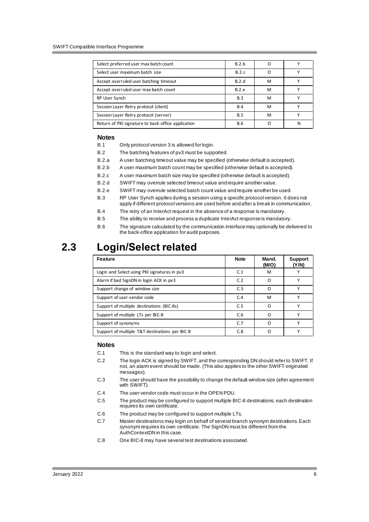| Select preferred user max batch count              | B.2.b      |   |   |
|----------------------------------------------------|------------|---|---|
| Select user maximum batch size                     | B.2.c      | n |   |
| Accept overruled user batching timeout             | B.2.d      | M |   |
| Accept overruled user max batch count              | B.2.e      | M |   |
| RP User Synch                                      | B.3        | M |   |
| Session Layer Retry protocol (client)              | B.4        | M |   |
| Session Layer Retry protocol (server)              | B.5        | M |   |
| Return of PKI signature to back-office application | <b>B.6</b> |   | N |

#### **Notes**

- B.1 Only protocol version 3 is allowed for login.
- B.2 The batching features of pv3 must be supported.
- B.2.a A user batching timeout value may be specified (otherwise default is accepted).
- B.2.b A user maximum batch count may be specified (otherwise default is accepted).
- B.2.c A user maximum batch size may be specified (otherwise default is accepted).
- B.2.d SWIFT may overrule selected timeout value and require another value.
- B.2.e SWIFT may overrule selected batch count value and require another be used.
- B.3 RP User Synch applies during a session using a specific protocol version. It does not apply if different protocol versions are used before and after a break in communication.
- B.4 The retry of an InterAct request in the absence of a response is mandatory.
- B.5 The ability to receive and process a duplicate InterAct response is mandatory.
- B.6 The signature calculated by the communication interface may optionally be delivered to the back-office application for audit purposes.

### <span id="page-5-0"></span>**2.3 Login/Select related**

| <b>Feature</b>                                 | <b>Note</b>    | Mand.<br>(M/O) | <b>Support</b><br>(Y/N) |
|------------------------------------------------|----------------|----------------|-------------------------|
| Login and Select using PKI signatures in pv3   | C.1            | м              |                         |
| Alarm if bad SignDN in login ACK in pv3        | C <sub>2</sub> | ∩              | $\checkmark$            |
| Support change of window size                  | C.3            |                | $\checkmark$            |
| Support of user vendor code                    | C.4            | M              | $\checkmark$            |
| Support of multiple destinations (BIC-8s)      | C.5            | റ              |                         |
| Support of multiple LTs per BIC-8              | C.6            | n              |                         |
| Support of synonyms                            | C.7            | ∩              |                         |
| Support of multiple T&T destinations per BIC-8 | C.8            |                |                         |

#### **Notes**

- C.1 This is the standard way to login and select.
- C.2 The login ACK is signed by SWIFT, and the corresponding DN should refer to SWIFT. If not, an alarm event should be made. (This also applies to the other SWIFT originated messages).
- C.3 The user should have the possibility to change the default window size (after agreement with SWIFT).
- C.4 The user vendor code must occur in the OPEN PDU.
- C.5 The product may be configured to support multiple BIC-8 destinations; each destination requires its own certificate.
- C.6 The product may be configured to support multiple LTs.
- C.7 Master destinations may login on behalf of several branch synonym destinations. Each synonym requires its own certificate. The SignDN must be different from the AuthContextDN in this case.
- C.8 One BIC-8 may have several test destinations associated.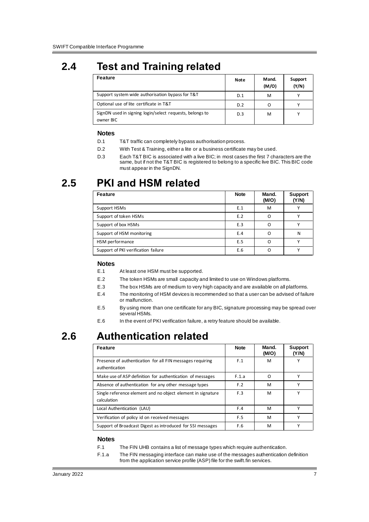## <span id="page-6-0"></span>**2.4 Test and Training related**

| <b>Feature</b>                                                        | Note | Mand.<br>(M/O) | Support<br>(Y/N) |
|-----------------------------------------------------------------------|------|----------------|------------------|
| Support system wide authorisation bypass for T&T                      | D.1  | M              |                  |
| Optional use of lite certificate in T&T                               | D.2  |                | $\checkmark$     |
| SignDN used in signing login/select requests, belongs to<br>owner BIC | D.3  | M              |                  |

#### **Notes**

- D.1 T&T traffic can completely bypass authorisation process.
- D.2 With Test & Training, either a lite or a business certificate may be used.
- D.3 Each T&T BIC is associated with a live BIC; in most cases the first 7 characters are the same, but if not the T&T BIC is registered to belong to a specific live BIC. This BIC code must appear in the SignDN.

### <span id="page-6-1"></span>**2.5 PKI and HSM related**

| <b>Feature</b>                      | <b>Note</b> | Mand.<br>(M/O) | <b>Support</b><br>(Y/N) |
|-------------------------------------|-------------|----------------|-------------------------|
| Support HSMs                        | E.1         | M              |                         |
| Support of token HSMs               | E.2         |                |                         |
| Support of box HSMs                 | E.3         |                |                         |
| Support of HSM monitoring           | E.4         | ∩              | N                       |
| HSM performance                     | E.5         | ∩              |                         |
| Support of PKI verification failure | E.6         | ∩              |                         |

#### **Notes**

- E.1 At least one HSM must be supported.
- E.2 The token HSMs are small capacity and limited to use on Windows platforms.
- E.3 The box HSMs are of medium to very high capacity and are available on all platforms.
- E.4 The monitoring of HSM devices is recommended so that a user can be advised of failure or malfunction.
- E.5 By using more than one certificate for any BIC, signature processing may be spread over several HSMs.
- E.6 In the event of PKI verification failure, a retry feature should be available.

## <span id="page-6-2"></span>**2.6 Authentication related**

| <b>Feature</b>                                                              | <b>Note</b> | Mand.<br>(M/O) | <b>Support</b><br>(Y/N) |
|-----------------------------------------------------------------------------|-------------|----------------|-------------------------|
| Presence of authentication for all FIN messages requiring<br>authentication | F.1         | M              |                         |
| Make use of ASP definition for authentication of messages                   | F.1.a       | O              |                         |
| Absence of authentication for any other message types                       | F.2         | M              |                         |
| Single reference element and no object element in signature<br>calculation  | F.3         | м              | v                       |
| Local Authentication (LAU)                                                  | F.4         | M              | v                       |
| Verification of policy id on received messages                              | F.5         | M              | v                       |
| Support of Broadcast Digest as introduced for SSI messages                  | F.6         | м              |                         |

#### **Notes**

- F.1 The FIN UHB contains a list of message types which require authentication.
- F.1.a The FIN messaging interface can make use of the messages authentication definition from the application service profile (ASP) file for the swift.fin services.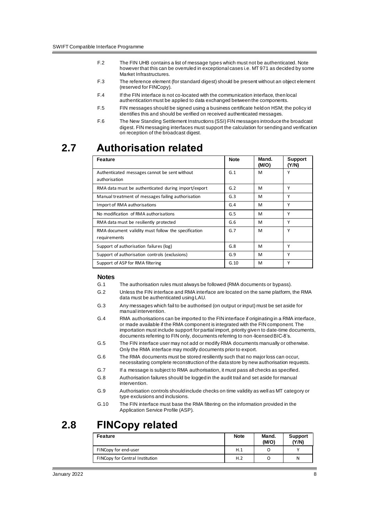- F.2 The FIN UHB contains a list of message types which must not be authenticated. Note however that this can be overruled in exceptional cases i.e. MT 971 as decided by some Market Infrastructures.
- F.3 The reference element (for standard digest) should be present without an object element (reserved for FINCopy).
- F.4 If the FIN interface is not co-located with the communication interface, then local authentication must be applied to data exchanged between the components.
- F.5 FIN messages should be signed using a business certificate held on HSM; the policy id identifies this and should be verified on received authenticated messages.
- F.6 The New Standing Settlement Instructions (SSI) FIN messages introduce the broadcast digest. FIN messaging interfaces must support the calculation for sending and verification on reception of the broadcast digest.

### <span id="page-7-0"></span>**2.7 Authorisation related**

| <b>Feature</b>                                                      | <b>Note</b> | Mand.<br>(M/O) | <b>Support</b><br>(Y/N) |
|---------------------------------------------------------------------|-------------|----------------|-------------------------|
| Authenticated messages cannot be sent without<br>authorisation      | G.1         | M              | Υ                       |
| RMA data must be authenticated during import/export                 | G.2         | м              | Υ                       |
| Manual treatment of messages failing authorisation                  | G.3         | M              | γ                       |
| Import of RMA authorisations                                        | G.4         | M              | Υ                       |
| No modification of RMA authorisations                               | G.5         | M              | Υ                       |
| RMA data must be resiliently protected                              | G.6         | M              | Υ                       |
| RMA document validity must follow the specification<br>requirements | G.7         | M              | Υ                       |
| Support of authorisation failures (log)                             | G.8         | M              | Υ                       |
| Support of authorisation controls (exclusions)                      | G.9         | M              | γ                       |
| Support of ASP for RMA filtering                                    | G.10        | M              | Υ                       |

#### **Notes**

- G.1 The authorisation rules must always be followed (RMA documents or bypass).
- G.2 Unless the FIN interface and RMA interface are located on the same platform, the RMA data must be authenticated using LAU.
- G.3 Any messages which fail to be authorised (on output or input) must be set aside for manual intervention.
- G.4 RMA authorisations can be imported to the FIN interface if originating in a RMA interface, or made available if the RMA component is integrated with the FIN component. The importation must include support for partial import, priority given to date-time documents, documents referring to FIN only, documents referring to non-licensed BIC-8's.
- G.5 The FIN interface user may not add or modify RMA documents manually or otherwise. Only the RMA interface may modify documents prior to export.
- G.6 The RMA documents must be stored resiliently such that no major loss can occur, necessitating complete reconstruction of the data store by new authorisation requests.
- G.7 If a message is subject to RMA authorisation, it must pass all checks as specified.
- G.8 Authorisation failures should be logged in the audit trail and set aside for manual intervention.
- G.9 Authorisation controls should include checks on time validity as well as MT category or type exclusions and inclusions.
- G.10 The FIN interface must base the RMA filtering on the information provided in the Application Service Profile (ASP).

### <span id="page-7-1"></span>**2.8 FINCopy related**

| Feature                         | <b>Note</b> | Mand.<br>(M/O) | <b>Support</b><br>(Y/N) |
|---------------------------------|-------------|----------------|-------------------------|
| FINCopy for end-user            | H.1         |                |                         |
| FINCopy for Central Institution | H.2         |                | N                       |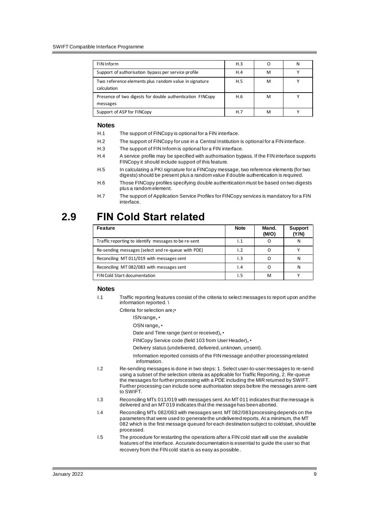| FIN Inform                                                            | H.3 |   | N |
|-----------------------------------------------------------------------|-----|---|---|
| Support of authorisation bypass per service profile                   | H.4 | м |   |
| Two reference elements plus random value in signature<br>calculation  | H.5 | M |   |
| Presence of two digests for double authentication FINCopy<br>messages | H.6 | M |   |
| Support of ASP for FINCopy                                            | H.7 | м |   |

#### **Notes**

- H.1 The support of FINCopy is optional for a FIN interface.
- H.2 The support of FINCopy for use in a Central Institution is optional for a FIN interface.
- H.3 The support of FIN Inform is optional for a FIN interface.
- H.4 A service profile may be specified with authorisation bypass. If the FIN interface supports FINCopy it should include support of this feature.
- H.5 In calculating a PKI signature for a FINCopy message, two reference elements (for two digests) should be present plus a random value if double authentication is required.
- H.6 Those FINCopy profiles specifying double authentication must be based on two digests plus a random element.

### <span id="page-8-0"></span>**2.9 FIN Cold Start related**

| Feature                                              | <b>Note</b>     | Mand.<br>(M/O) | <b>Support</b><br>(Y/N) |
|------------------------------------------------------|-----------------|----------------|-------------------------|
| Traffic reporting to identify messages to be re-sent | 1.1             |                | N                       |
| Re-sending messages (select and re-queue with PDE)   | 1.2             |                |                         |
| Reconciling MT 011/019 with messages sent            | 1.3             |                |                         |
| Reconciling MT 082/083 with messages sent            | $\mathsf{I}$ .4 |                |                         |
| FIN Cold Start documentation                         | I. 5            | M              |                         |

#### **Notes**

I.1 Traffic reporting features consist of the criteria to select messages to report upon and the information reported. \

Criteria for selection are**;**•

- ISN range**,** •
- OSN range**,** •
- Date and Time range (sent or received)**,** •
- FINCopy Service code (field 103 from User Header)**,** •
- Delivery status (undelivered, delivered, unknown, unsent).
- Information reported consists of the FIN message and other processing-related information.
- I.2 Re-sending messages is done in two steps: 1. Select user-to-user messages to re-send using a subset of the selection criteria as applicable for Traffic Reporting, 2. Re-queue the messages for further processing with a PDE including the MIR returned by SWIFT. Further processing can include some authorisation steps before the messages arere-sent to SWIFT.
- I.3 Reconciling MTs 011/019 with messages sent. An MT 011 indicates that the message is delivered and an MT 019 indicates that the message has been aborted.
- I.4 Reconciling MTs 082/083 with messages sent. MT 082/083 processing depends on the parameters that were used to generate the undelivered reports. At a minimum, the MT 082 which is the first message queued for each destination subject to coldstart, should be processed.
- I.5 The procedure for restarting the operations after a FIN cold start will use the available features of the interface. Accurate documentation is essential to guide the user so that recovery from the FIN cold start is as easy as possible.

H.7 The support of Application Service Profiles for FINCopy services is mandatory for a FIN interface.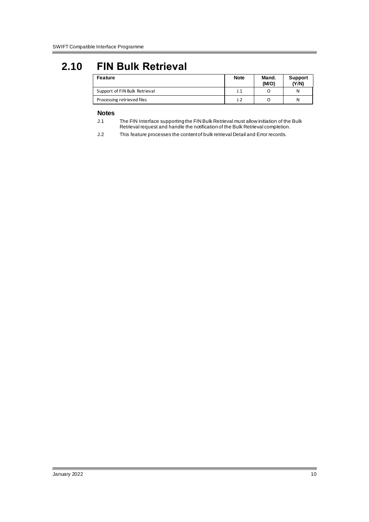## <span id="page-9-0"></span>**2.10 FIN Bulk Retrieval**

| <b>Feature</b>                | <b>Note</b> | Mand.<br>(M/O) | <b>Support</b><br>(Y/N) |
|-------------------------------|-------------|----------------|-------------------------|
| Support of FIN Bulk Retrieval | J. 1        |                | N                       |
| Processing retrieved files    | J. 2        |                | Ν                       |

#### **Notes**

- J.1 The FIN Interface supporting the FIN Bulk Retrieval must allow initiation of the Bulk Retrieval request and handle the notification of the Bulk Retrieval completion.
- J.2 This feature processes the content of bulk retrieval Detail and Error records.